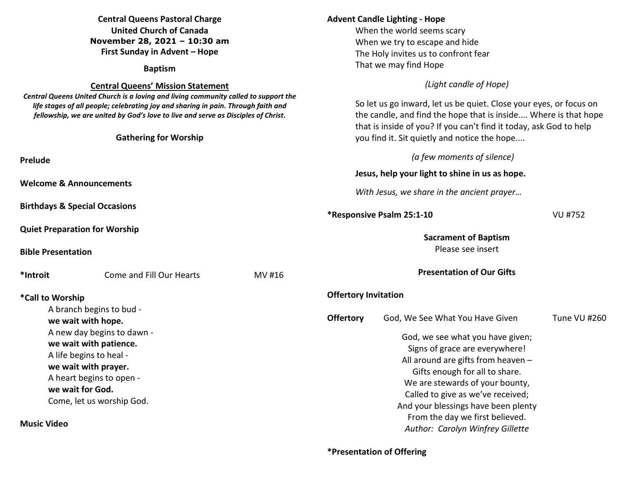| <b>Central Queens Pastoral Charge</b><br><b>United Church of Canada</b><br>November 28, 2021 - 10:30 am<br>First Sunday in Advent - Hope<br><b>Baptism</b>                                                                                                                                                                                |                                                                                                              |                                                                                                                                                                                                                                                                                       | <b>Advent Candle Lighting - Hope</b><br>When the world seems scary<br>When we try to escape and hide<br>The Holy invites us to confront fear<br>That we may find Hope                                                                                      |                                                                                                                                           |              |  |
|-------------------------------------------------------------------------------------------------------------------------------------------------------------------------------------------------------------------------------------------------------------------------------------------------------------------------------------------|--------------------------------------------------------------------------------------------------------------|---------------------------------------------------------------------------------------------------------------------------------------------------------------------------------------------------------------------------------------------------------------------------------------|------------------------------------------------------------------------------------------------------------------------------------------------------------------------------------------------------------------------------------------------------------|-------------------------------------------------------------------------------------------------------------------------------------------|--------------|--|
| <b>Central Queens' Mission Statement</b><br>Central Queens United Church is a loving and living community called to support the<br>life stages of all people; celebrating joy and sharing in pain. Through faith and<br>fellowship, we are united by God's love to live and serve as Disciples of Christ.<br><b>Gathering for Worship</b> |                                                                                                              | (Light candle of Hope)<br>So let us go inward, let us be quiet. Close your eyes, or focus on<br>the candle, and find the hope that is inside Where is that hope<br>that is inside of you? If you can't find it today, ask God to help<br>you find it. Sit quietly and notice the hope |                                                                                                                                                                                                                                                            |                                                                                                                                           |              |  |
| Prelude<br><b>Welcome &amp; Announcements</b>                                                                                                                                                                                                                                                                                             |                                                                                                              |                                                                                                                                                                                                                                                                                       | (a few moments of silence)<br>Jesus, help your light to shine in us as hope.<br>With Jesus, we share in the ancient prayer                                                                                                                                 |                                                                                                                                           |              |  |
| <b>Birthdays &amp; Special Occasions</b><br><b>Quiet Preparation for Worship</b><br><b>Bible Presentation</b>                                                                                                                                                                                                                             |                                                                                                              |                                                                                                                                                                                                                                                                                       | *Responsive Psalm 25:1-10<br><b>VU #752</b><br><b>Sacrament of Baptism</b><br>Please see insert                                                                                                                                                            |                                                                                                                                           |              |  |
| *Introit<br>*Call to Worship<br>we wait with hope.                                                                                                                                                                                                                                                                                        | Come and Fill Our Hearts<br>A branch begins to bud -<br>A new day begins to dawn -<br>we wait with patience. | MV #16                                                                                                                                                                                                                                                                                | <b>Offertory Invitation</b><br><b>Offertory</b>                                                                                                                                                                                                            | <b>Presentation of Our Gifts</b><br>God, We See What You Have Given<br>God, we see what you have given;<br>Signs of grace are everywhere! | Tune VU #260 |  |
| A life begins to heal -<br>we wait with prayer.<br>A heart begins to open -<br>we wait for God.<br>Come, let us worship God.<br><b>Music Video</b>                                                                                                                                                                                        |                                                                                                              |                                                                                                                                                                                                                                                                                       | All around are gifts from heaven -<br>Gifts enough for all to share.<br>We are stewards of your bounty,<br>Called to give as we've received;<br>And your blessings have been plenty<br>From the day we first believed.<br>Author: Carolyn Winfrey Gillette |                                                                                                                                           |              |  |

## **\*Presentation of Offering**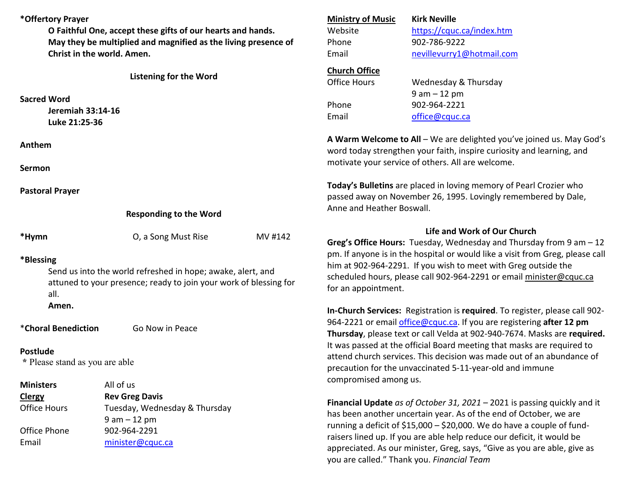| *Offertory Prayer<br>O Faithful One, accept these gifts of our hearts and hands.<br>May they be multiplied and magnified as the living presence of<br>Christ in the world. Amen. |                                                 | <b>Ministry of Music</b><br>Website<br>Phone                           | <b>Kirk Neville</b><br>https://cquc.ca/index.htm<br>902-786-9222                                                                                                                                                                                                                                    |                                                                                 |  |       |
|----------------------------------------------------------------------------------------------------------------------------------------------------------------------------------|-------------------------------------------------|------------------------------------------------------------------------|-----------------------------------------------------------------------------------------------------------------------------------------------------------------------------------------------------------------------------------------------------------------------------------------------------|---------------------------------------------------------------------------------|--|-------|
|                                                                                                                                                                                  |                                                 |                                                                        | Email                                                                                                                                                                                                                                                                                               | nevillevurry1@hotmail.com                                                       |  |       |
|                                                                                                                                                                                  | <b>Listening for the Word</b>                   |                                                                        | <b>Church Office</b><br><b>Office Hours</b>                                                                                                                                                                                                                                                         |                                                                                 |  |       |
|                                                                                                                                                                                  |                                                 |                                                                        |                                                                                                                                                                                                                                                                                                     | Wednesday & Thursday<br>$9 am - 12 pm$                                          |  |       |
| <b>Sacred Word</b>                                                                                                                                                               |                                                 |                                                                        | Phone                                                                                                                                                                                                                                                                                               | 902-964-2221                                                                    |  |       |
| Jeremiah 33:14-16<br>Luke 21:25-36                                                                                                                                               |                                                 |                                                                        | Email                                                                                                                                                                                                                                                                                               | office@cquc.ca                                                                  |  |       |
| Anthem                                                                                                                                                                           |                                                 |                                                                        | A Warm Welcome to All - We are delighted you've joined us. May God's<br>word today strengthen your faith, inspire curiosity and learning, and                                                                                                                                                       |                                                                                 |  |       |
| Sermon                                                                                                                                                                           |                                                 |                                                                        |                                                                                                                                                                                                                                                                                                     | motivate your service of others. All are welcome.                               |  |       |
| <b>Pastoral Prayer</b><br><b>Responding to the Word</b>                                                                                                                          |                                                 |                                                                        | Today's Bulletins are placed in loving memory of Pearl Crozier who<br>passed away on November 26, 1995. Lovingly remembered by Dale,<br>Anne and Heather Boswall.                                                                                                                                   |                                                                                 |  |       |
|                                                                                                                                                                                  |                                                 |                                                                        |                                                                                                                                                                                                                                                                                                     |                                                                                 |  | *Hymn |
| *Blessing<br>Send us into the world refreshed in hope; awake, alert, and<br>attuned to your presence; ready to join your work of blessing for<br>all.                            |                                                 |                                                                        | pm. If anyone is in the hospital or would like a visit from Greg, please call<br>him at 902-964-2291. If you wish to meet with Greg outside the<br>scheduled hours, please call 902-964-2291 or email minister@cquc.ca<br>for an appointment.                                                       |                                                                                 |  |       |
| Amen.                                                                                                                                                                            |                                                 |                                                                        |                                                                                                                                                                                                                                                                                                     | In-Church Services: Registration is required. To register, please call 902-     |  |       |
| *Choral Benediction<br>Go Now in Peace                                                                                                                                           |                                                 |                                                                        | 964-2221 or email office@cquc.ca. If you are registering after 12 pm<br>Thursday, please text or call Velda at 902-940-7674. Masks are required.<br>It was passed at the official Board meeting that masks are required to<br>attend church services. This decision was made out of an abundance of |                                                                                 |  |       |
| <b>Postlude</b>                                                                                                                                                                  |                                                 |                                                                        |                                                                                                                                                                                                                                                                                                     |                                                                                 |  |       |
| * Please stand as you are able                                                                                                                                                   |                                                 |                                                                        | precaution for the unvaccinated 5-11-year-old and immune                                                                                                                                                                                                                                            |                                                                                 |  |       |
| <b>Ministers</b>                                                                                                                                                                 | All of us                                       |                                                                        | compromised among us.                                                                                                                                                                                                                                                                               |                                                                                 |  |       |
| <b>Clergy</b>                                                                                                                                                                    | <b>Rev Greg Davis</b>                           |                                                                        |                                                                                                                                                                                                                                                                                                     | <b>Financial Update</b> as of October 31, 2021 – 2021 is passing quickly and it |  |       |
| <b>Office Hours</b>                                                                                                                                                              | Tuesday, Wednesday & Thursday<br>$9 am - 12 pm$ |                                                                        | has been another uncertain year. As of the end of October, we are                                                                                                                                                                                                                                   |                                                                                 |  |       |
| Office Phone<br>902-964-2291                                                                                                                                                     |                                                 | running a deficit of \$15,000 - \$20,000. We do have a couple of fund- |                                                                                                                                                                                                                                                                                                     |                                                                                 |  |       |
| Email                                                                                                                                                                            | minister@cquc.ca                                |                                                                        | raisers lined up. If you are able help reduce our deficit, it would be<br>appreciated. As our minister, Greg, says, "Give as you are able, give as<br>you are called." Thank you. Financial Team                                                                                                    |                                                                                 |  |       |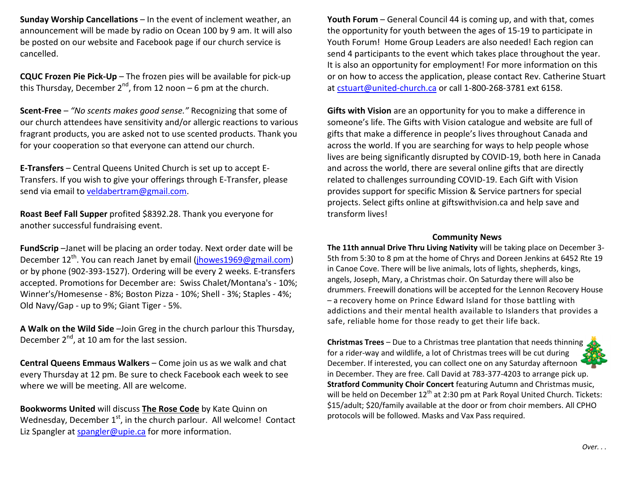**Sunday Worship Cancellations** – In the event of inclement weather, an announcement will be made by radio on Ocean 100 by 9 am. It will also be posted on our website and Facebook page if our church service is cancelled.

**CQUC Frozen Pie Pick-Up** – The frozen pies will be available for pick-up this Thursday, December  $2^{nd}$ , from 12 noon – 6 pm at the church.

**Scent-Free** – *"No scents makes good sense."* Recognizing that some of our church attendees have sensitivity and/or allergic reactions to various fragrant products, you are asked not to use scented products. Thank you for your cooperation so that everyone can attend our church.

**E-Transfers** – Central Queens United Church is set up to accept E-Transfers. If you wish to give your offerings through E-Transfer, please send via email to veldabertram@gmail.com.

**Roast Beef Fall Supper** profited \$8392.28. Thank you everyone for another successful fundraising event.

**FundScrip** –Janet will be placing an order today. Next order date will be December 12<sup>th</sup>. You can reach Janet by email (**jhowes1969@gmail.com**) or by phone (902-393-1527). Ordering will be every 2 weeks. E-transfers accepted. Promotions for December are: Swiss Chalet/Montana's - 10%; Winner's/Homesense - 8%; Boston Pizza - 10%; Shell - 3%; Staples - 4%; Old Navy/Gap - up to 9%; Giant Tiger - 5%.

**A Walk on the Wild Side** –Join Greg in the church parlour this Thursday, December  $2^{nd}$ , at 10 am for the last session.

**Central Queens Emmaus Walkers** – Come join us as we walk and chat every Thursday at 12 pm. Be sure to check Facebook each week to see where we will be meeting. All are welcome.

**Bookworms United** will discuss **The Rose Code** by Kate Quinn on Wednesday, December  $1<sup>st</sup>$ , in the church parlour. All welcome! Contact Liz Spangler at spangler@upie.ca for more information.

**Youth Forum** – General Council 44 is coming up, and with that, comes the opportunity for youth between the ages of 15-19 to participate in Youth Forum! Home Group Leaders are also needed! Each region can send 4 participants to the event which takes place throughout the year. It is also an opportunity for employment! For more information on this or on how to access the application, please contact Rev. Catherine Stuart at cstuart@united-church.ca or call 1-800-268-3781 ext 6158.

**Gifts with Vision** are an opportunity for you to make a difference in someone's life. The Gifts with Vision catalogue and website are full of gifts that make a difference in people's lives throughout Canada and across the world. If you are searching for ways to help people whose lives are being significantly disrupted by COVID-19, both here in Canada and across the world, there are several online gifts that are directly related to challenges surrounding COVID-19. Each Gift with Vision provides support for specific Mission & Service partners for special projects. Select gifts online at giftswithvision.ca and help save and transform lives!

## **Community News**

 **The 11th annual Drive Thru Living Nativity** will be taking place on December 3- 5th from 5:30 to 8 pm at the home of Chrys and Doreen Jenkins at 6452 Rte 19 in Canoe Cove. There will be live animals, lots of lights, shepherds, kings, angels, Joseph, Mary, a Christmas choir. On Saturday there will also be drummers. Freewill donations will be accepted for the Lennon Recovery House – a recovery home on Prince Edward Island for those battling with addictions and their mental health available to Islanders that provides a safe, reliable home for those ready to get their life back.

**Christmas Trees** – Due to a Christmas tree plantation that needs thinning for a rider-way and wildlife, a lot of Christmas trees will be cut during December. If interested, you can collect one on any Saturday afternoon in December. They are free. Call David at 783-377-4203 to arrange pick up. **Stratford Community Choir Concert** featuring Autumn and Christmas music, will be held on December 12<sup>th</sup> at 2:30 pm at Park Royal United Church. Tickets: \$15/adult; \$20/family available at the door or from choir members. All CPHO protocols will be followed. Masks and Vax Pass required.